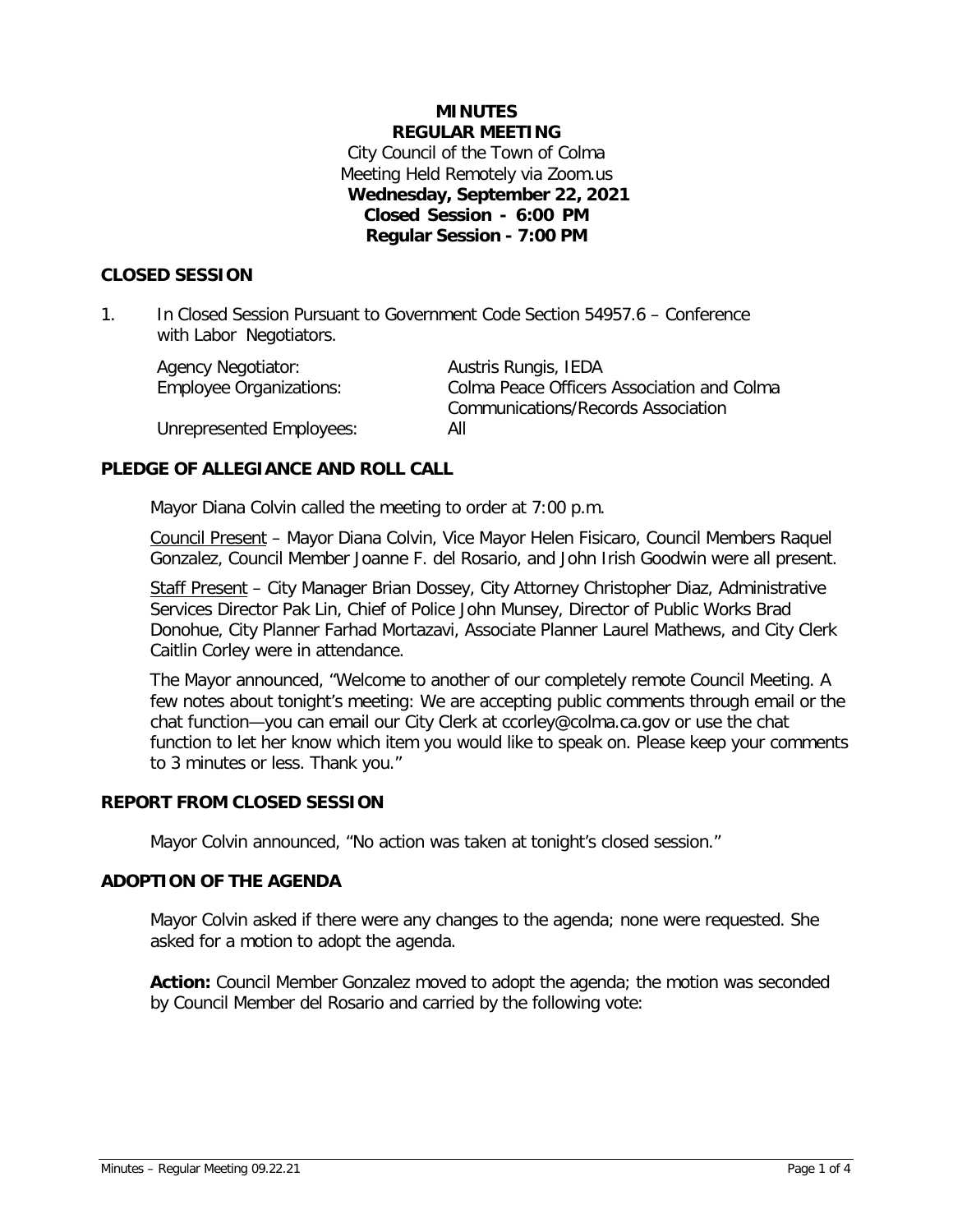# **MINUTES REGULAR MEETING** City Council of the Town of Colma Meeting Held Remotely via Zoom.us **Wednesday, September 22, 2021 Closed Session - 6:00 PM Regular Session - 7:00 PM**

# **CLOSED SESSION**

1. In Closed Session Pursuant to Government Code Section 54957.6 – Conference with Labor Negotiators.

| <b>Agency Negotiator:</b>      | Austris Rungis, IEDA                       |
|--------------------------------|--------------------------------------------|
| <b>Employee Organizations:</b> | Colma Peace Officers Association and Colma |
|                                | Communications/Records Association         |
| Unrepresented Employees:       | All                                        |

# **PLEDGE OF ALLEGIANCE AND ROLL CALL**

Mayor Diana Colvin called the meeting to order at 7:00 p.m.

Council Present – Mayor Diana Colvin, Vice Mayor Helen Fisicaro, Council Members Raquel Gonzalez, Council Member Joanne F. del Rosario, and John Irish Goodwin were all present.

Staff Present – City Manager Brian Dossey, City Attorney Christopher Diaz, Administrative Services Director Pak Lin, Chief of Police John Munsey, Director of Public Works Brad Donohue, City Planner Farhad Mortazavi, Associate Planner Laurel Mathews, and City Clerk Caitlin Corley were in attendance.

The Mayor announced, "Welcome to another of our completely remote Council Meeting. A few notes about tonight's meeting: We are accepting public comments through email or the chat function—you can email our City Clerk at ccorley@colma.ca.gov or use the chat function to let her know which item you would like to speak on. Please keep your comments to 3 minutes or less. Thank you."

# **REPORT FROM CLOSED SESSION**

Mayor Colvin announced, "No action was taken at tonight's closed session."

# **ADOPTION OF THE AGENDA**

Mayor Colvin asked if there were any changes to the agenda; none were requested. She asked for a motion to adopt the agenda.

**Action:** Council Member Gonzalez moved to adopt the agenda; the motion was seconded by Council Member del Rosario and carried by the following vote: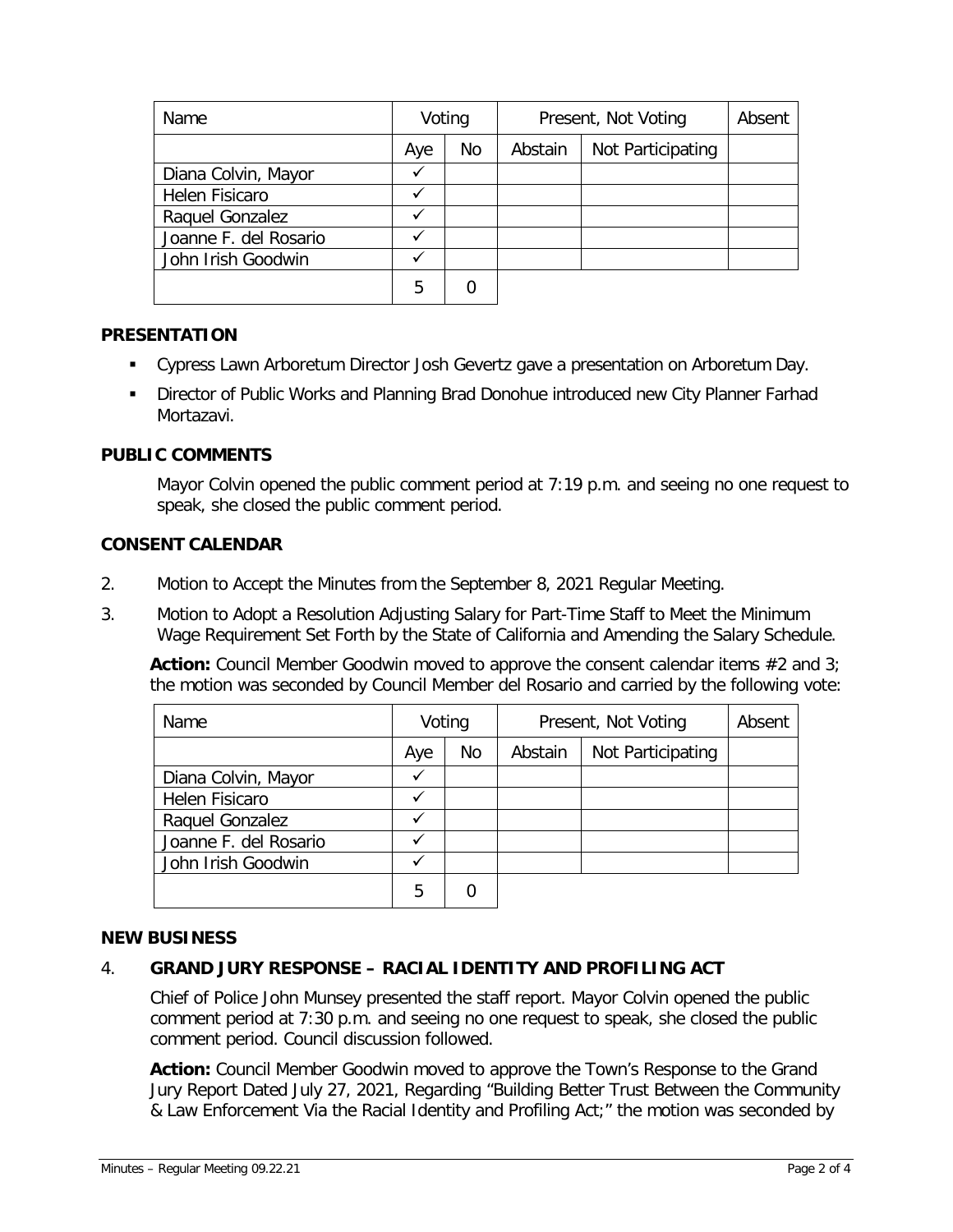| Name                  | Voting |    | Present, Not Voting |                   | Absent |
|-----------------------|--------|----|---------------------|-------------------|--------|
|                       | Aye    | No | Abstain             | Not Participating |        |
| Diana Colvin, Mayor   |        |    |                     |                   |        |
| Helen Fisicaro        |        |    |                     |                   |        |
| Raquel Gonzalez       |        |    |                     |                   |        |
| Joanne F. del Rosario |        |    |                     |                   |        |
| John Irish Goodwin    |        |    |                     |                   |        |
|                       | 5      |    |                     |                   |        |

# **PRESENTATION**

- Cypress Lawn Arboretum Director Josh Gevertz gave a presentation on Arboretum Day.
- Director of Public Works and Planning Brad Donohue introduced new City Planner Farhad Mortazavi.

# **PUBLIC COMMENTS**

Mayor Colvin opened the public comment period at 7:19 p.m. and seeing no one request to speak, she closed the public comment period.

# **CONSENT CALENDAR**

- 2. Motion to Accept the Minutes from the September 8, 2021 Regular Meeting.
- 3. Motion to Adopt a Resolution Adjusting Salary for Part-Time Staff to Meet the Minimum Wage Requirement Set Forth by the State of California and Amending the Salary Schedule.

**Action:** Council Member Goodwin moved to approve the consent calendar items #2 and 3; the motion was seconded by Council Member del Rosario and carried by the following vote:

| Name                  | Voting |    | Present, Not Voting | Absent            |  |
|-----------------------|--------|----|---------------------|-------------------|--|
|                       | Aye    | No | Abstain             | Not Participating |  |
| Diana Colvin, Mayor   |        |    |                     |                   |  |
| Helen Fisicaro        |        |    |                     |                   |  |
| Raquel Gonzalez       |        |    |                     |                   |  |
| Joanne F. del Rosario |        |    |                     |                   |  |
| John Irish Goodwin    |        |    |                     |                   |  |
|                       | 5      |    |                     |                   |  |

# **NEW BUSINESS**

# 4. **GRAND JURY RESPONSE – RACIAL IDENTITY AND PROFILING ACT**

Chief of Police John Munsey presented the staff report. Mayor Colvin opened the public comment period at 7:30 p.m. and seeing no one request to speak, she closed the public comment period. Council discussion followed.

**Action:** Council Member Goodwin moved to approve the Town's Response to the Grand Jury Report Dated July 27, 2021, Regarding "Building Better Trust Between the Community & Law Enforcement Via the Racial Identity and Profiling Act;" the motion was seconded by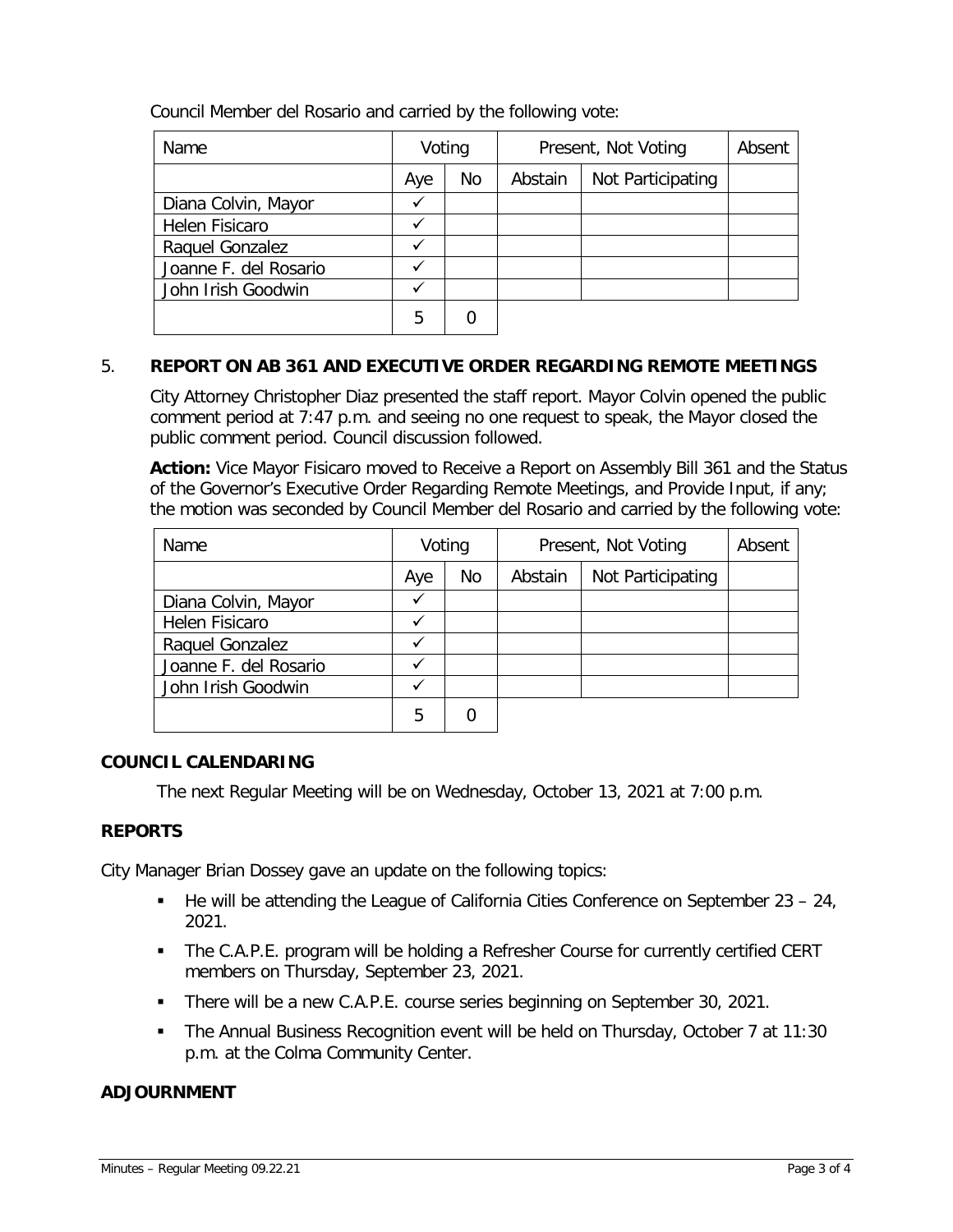Council Member del Rosario and carried by the following vote:

| Name                  | Voting |    | Present, Not Voting |                   | Absent |
|-----------------------|--------|----|---------------------|-------------------|--------|
|                       | Aye    | No | Abstain             | Not Participating |        |
| Diana Colvin, Mayor   |        |    |                     |                   |        |
| Helen Fisicaro        |        |    |                     |                   |        |
| Raquel Gonzalez       |        |    |                     |                   |        |
| Joanne F. del Rosario |        |    |                     |                   |        |
| John Irish Goodwin    |        |    |                     |                   |        |
|                       | 5      |    |                     |                   |        |

# 5. **REPORT ON AB 361 AND EXECUTIVE ORDER REGARDING REMOTE MEETINGS**

City Attorney Christopher Diaz presented the staff report. Mayor Colvin opened the public comment period at 7:47 p.m. and seeing no one request to speak, the Mayor closed the public comment period. Council discussion followed.

**Action:** Vice Mayor Fisicaro moved to Receive a Report on Assembly Bill 361 and the Status of the Governor's Executive Order Regarding Remote Meetings, and Provide Input, if any; the motion was seconded by Council Member del Rosario and carried by the following vote:

| Name                  | Voting |    | Present, Not Voting |                   | Absent |
|-----------------------|--------|----|---------------------|-------------------|--------|
|                       | Aye    | No | Abstain             | Not Participating |        |
| Diana Colvin, Mayor   |        |    |                     |                   |        |
| <b>Helen Fisicaro</b> |        |    |                     |                   |        |
| Raquel Gonzalez       |        |    |                     |                   |        |
| Joanne F. del Rosario |        |    |                     |                   |        |
| John Irish Goodwin    |        |    |                     |                   |        |
|                       | 5      |    |                     |                   |        |

# **COUNCIL CALENDARING**

The next Regular Meeting will be on Wednesday, October 13, 2021 at 7:00 p.m.

# **REPORTS**

City Manager Brian Dossey gave an update on the following topics:

- $\blacksquare$  He will be attending the League of California Cities Conference on September 23 24, 2021.
- The C.A.P.E. program will be holding a Refresher Course for currently certified CERT members on Thursday, September 23, 2021.
- There will be a new C.A.P.E. course series beginning on September 30, 2021.
- The Annual Business Recognition event will be held on Thursday, October 7 at 11:30 p.m. at the Colma Community Center.

# **ADJOURNMENT**